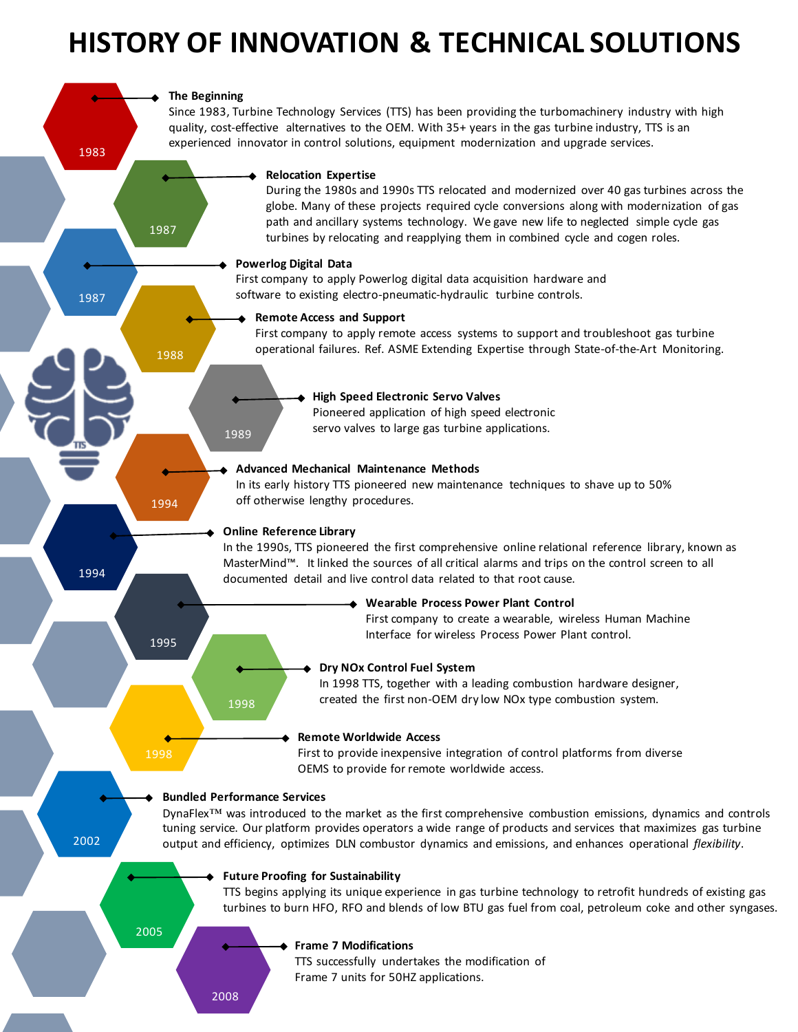# **HISTORY OF INNOVATION & TECHNICAL SOLUTIONS**

# **The Beginning**

1987

1988

1994

1995

1998

1983

1987

1994

2002

Since 1983, Turbine Technology Services (TTS) has been providing the turbomachinery industry with high quality, cost-effective alternatives to the OEM. With 35+ years in the gas turbine industry, TTS is an experienced innovator in control solutions, equipment modernization and upgrade services.

#### **Relocation Expertise**

During the 1980s and 1990s TTS relocated and modernized over 40 gas turbines across the globe. Many of these projects required cycle conversions along with modernization of gas path and ancillary systems technology. We gave new life to neglected simple cycle gas turbines by relocating and reapplying them in combined cycle and cogen roles.

#### **Powerlog Digital Data**

First company to apply Powerlog digital data acquisition hardware and software to existing electro-pneumatic-hydraulic turbine controls.

# **Remote Access and Support**

First company to apply remote access systems to support and troubleshoot gas turbine operational failures. Ref. ASME Extending Expertise through State-of-the-Art Monitoring.

# **High Speed Electronic Servo Valves**

Pioneered application of high speed electronic servo valves to large gas turbine applications.

#### **Advanced Mechanical Maintenance Methods**

In its early history TTS pioneered new maintenance techniques to shave up to 50% off otherwise lengthy procedures.

# **Online Reference Library**

1989

In the 1990s, TTS pioneered the first comprehensive online relational reference library, known as MasterMind™. It linked the sources of all critical alarms and trips on the control screen to all documented detail and live control data related to that root cause.

#### **Wearable Process Power Plant Control**

First company to create a wearable, wireless Human Machine Interface for wireless Process Power Plant control.

# **Dry NOx Control Fuel System**

In 1998 TTS, together with a leading combustion hardware designer, created the first non-OEM dry low NOx type combustion system.

#### **Remote Worldwide Access**

First to provide inexpensive integration of control platforms from diverse OEMS to provide for remote worldwide access.

#### **Bundled Performance Services**

1998

DynaFlex<sup>™</sup> was introduced to the market as the first comprehensive combustion emissions, dynamics and controls tuning service. Our platform provides operators a wide range of products and services that maximizes gas turbine output and efficiency, optimizes DLN combustor dynamics and emissions, and enhances operational *flexibility*.

#### **Future Proofing for Sustainability**

TTS begins applying its unique experience in gas turbine technology to retrofit hundreds of existing gas turbines to burn HFO, RFO and blends of low BTU gas fuel from coal, petroleum coke and other syngases.

2005

#### **Frame 7 Modifications**

TTS successfully undertakes the modification of Frame 7 units for 50HZ applications.

2008